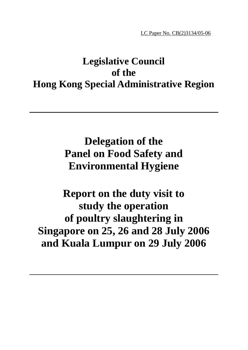LC Paper No. CB(2)3134/05-06

# **Legislative Council of the Hong Kong Special Administrative Region**

**Delegation of the Panel on Food Safety and Environmental Hygiene** 

**Report on the duty visit to study the operation of poultry slaughtering in Singapore on 25, 26 and 28 July 2006 and Kuala Lumpur on 29 July 2006**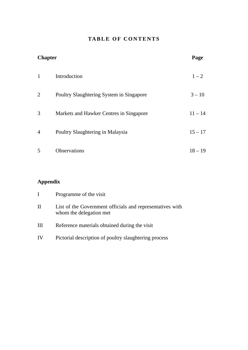### **TABLE OF CONTENTS**

| <b>Chapter</b> |                                          | Page      |
|----------------|------------------------------------------|-----------|
| $\mathbf{1}$   | Introduction                             | $1 - 2$   |
| $\overline{2}$ | Poultry Slaughtering System in Singapore | $3 - 10$  |
| 3              | Markets and Hawker Centres in Singapore  | $11 - 14$ |
| $\overline{4}$ | Poultry Slaughtering in Malaysia         | $15 - 17$ |
| 5              | Observations                             | $18 - 19$ |

# **Appendix**

|    | Programme of the visit                                                               |
|----|--------------------------------------------------------------------------------------|
| П  | List of the Government officials and representatives with<br>whom the delegation met |
| Ш  | Reference materials obtained during the visit                                        |
| IV | Pictorial description of poultry slaughtering process                                |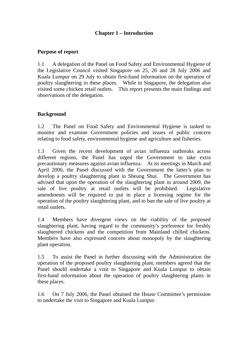#### **Chapter 1 – Introduction**

#### **Purpose of report**

1.1 A delegation of the Panel on Food Safety and Environmental Hygiene of the Legislative Council visited Singapore on 25, 26 and 28 July 2006 and Kuala Lumpur on 29 July to obtain first-hand information on the operation of poultry slaughtering in these places. While in Singapore, the delegation also visited some chicken retail outlets. This report presents the main findings and observations of the delegation.

#### **Background**

1.2 The Panel on Food Safety and Environmental Hygiene is tasked to monitor and examine Government policies and issues of public concern relating to food safety, environmental hygiene and agriculture and fisheries.

1.3 Given the recent development of avian influenza outbreaks across different regions, the Panel has urged the Government to take extra precautionary measures against avian influenza. At its meetings in March and April 2006, the Panel discussed with the Government the latter's plan to develop a poultry slaughtering plant in Sheung Shui. The Government has advised that upon the operation of the slaughtering plant in around 2009, the sale of live poultry at retail outlets will be prohibited. Legislative amendments will be required to put in place a licensing regime for the operation of the poultry slaughtering plant, and to ban the sale of live poultry at retail outlets.

1.4 Members have divergent views on the viability of the proposed slaughtering plant, having regard to the community's preference for freshly slaughtered chickens and the competition from Mainland chilled chickens. Members have also expressed concern about monopoly by the slaughtering plant operation.

1.5 To assist the Panel in further discussing with the Administration the operation of the proposed poultry slaughtering plant, members agreed that the Panel should undertake a visit to Singapore and Kuala Lumpur to obtain first-hand information about the operation of poultry slaughtering plants in these places.

1.6 On 7 July 2006, the Panel obtained the House Committee's permission to undertake the visit to Singapore and Kuala Lumpur.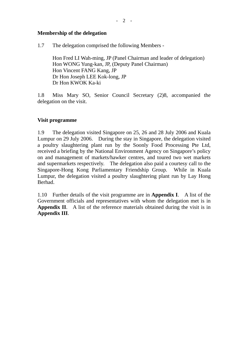$- 2 -$ 

#### **Membership of the delegation**

1.7 The delegation comprised the following Members -

Hon Fred LI Wah-ming, JP (Panel Chairman and leader of delegation) Hon WONG Yung-kan, JP, (Deputy Panel Chairman) Hon Vincent FANG Kang, JP Dr Hon Joseph LEE Kok-long, JP Dr Hon KWOK Ka-ki

1.8 Miss Mary SO, Senior Council Secretary (2)8, accompanied the delegation on the visit.

#### **Visit programme**

1.9 The delegation visited Singapore on 25, 26 and 28 July 2006 and Kuala Lumpur on 29 July 2006. During the stay in Singapore, the delegation visited a poultry slaughtering plant run by the Soonly Food Processing Pte Ltd, received a briefing by the National Environment Agency on Singapore's policy on and management of markets/hawker centres, and toured two wet markets and supermarkets respectively. The delegation also paid a courtesy call to the Singapore-Hong Kong Parliamentary Friendship Group. While in Kuala Lumpur, the delegation visited a poultry slaughtering plant run by Lay Hong Berhad.

1.10 Further details of the visit programme are in **Appendix I**. A list of the Government officials and representatives with whom the delegation met is in **Appendix II**. A list of the reference materials obtained during the visit is in **Appendix III**.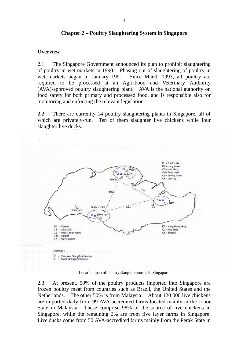#### **Chapter 2 – Poultry Slaughtering System in Singapore**

#### **Overview**

2.1 The Singapore Government announced its plan to prohibit slaughtering of poultry in wet markets in 1990. Phasing out of slaughtering of poultry in wet markets began in January 1991. Since March 1993, all poultry are required to be processed at an Agri-Food and Veterinary Authority (AVA)-approved poultry slaughtering plant. AVA is the national authority on food safety for both primary and processed food, and is responsible also for monitoring and enforcing the relevant legislation.

2.2 There are currently 14 poultry slaughtering plants in Singapore, all of which are privately-run. Ten of them slaughter live chickens while four slaughter live ducks.



Location map of poultry slaughterhouses in Singapore

2.3 At present, 50% of the poultry products imported into Singapore are frozen poultry meat from countries such as Brazil, the United States and the Netherlands. The other 50% is from Malaysia. About 120 000 live chickens are imported daily from 99 AVA-accredited farms located mainly in the Johor State in Malaysia. These comprise 98% of the source of live chickens in Singapore, while the remaining 2% are from five layer farms in Singapore. Live ducks come from 50 AVA-accredited farms mainly from the Perak State in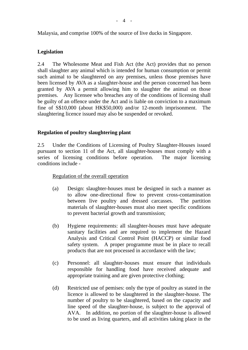Malaysia, and comprise 100% of the source of live ducks in Singapore.

#### **Legislation**

2.4 The Wholesome Meat and Fish Act (the Act) provides that no person shall slaughter any animal which is intended for human consumption or permit such animal to be slaughtered on any premises, unless those premises have been licensed by AVA as a slaughter-house and the person concerned has been granted by AVA a permit allowing him to slaughter the animal on those premises. Any licensee who breaches any of the conditions of licensing shall be guilty of an offence under the Act and is liable on conviction to a maximum fine of S\$10,000 (about HK\$50,000) and/or 12-month imprisonment. The slaughtering licence issued may also be suspended or revoked.

#### **Regulation of poultry slaughtering plant**

2.5 Under the Conditions of Licensing of Poultry Slaughter-Houses issued pursuant to section 11 of the Act, all slaughter-houses must comply with a series of licensing conditions before operation. The major licensing conditions include -

#### Regulation of the overall operation

- (a) Design: slaughter-houses must be designed in such a manner as to allow one-directional flow to prevent cross-contamination between live poultry and dressed carcasses. The partition materials of slaughter-houses must also meet specific conditions to prevent bacterial growth and transmission;
- (b) Hygiene requirements: all slaughter-houses must have adequate sanitary facilities and are required to implement the Hazard Analysis and Critical Control Point (HACCP) or similar food safety system. A proper programme must be in place to recall products that are not processed in accordance with the law;
- (c) Personnel: all slaughter-houses must ensure that individuals responsible for handling food have received adequate and appropriate training and are given protective clothing;
- (d) Restricted use of pemises: only the type of poultry as stated in the licence is allowed to be slaughtered in the slaughter-house. The number of poultry to be slaughtered, based on the capacity and line speed of the slaughter-house, is subject to the approval of AVA. In addition, no portion of the slaughter-house is allowed to be used as living quarters, and all activities taking place in the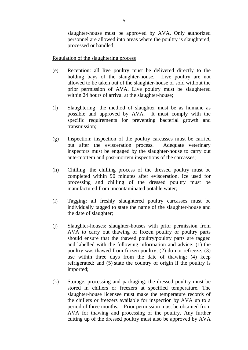slaughter-house must be approved by AVA. Only authorized personnel are allowed into areas where the poultry is slaughtered, processed or handled;

Regulation of the slaughtering process

- (e) Reception: all live poultry must be delivered directly to the holding bays of the slaughter-house. Live poultry are not allowed to be taken out of the slaughter-house or sold without the prior permission of AVA. Live poultry must be slaughtered within 24 hours of arrival at the slaughter-house;
- (f) Slaughtering: the method of slaughter must be as humane as possible and approved by AVA. It must comply with the specific requirements for preventing bacterial growth and transmission;
- (g) Inspection: inspection of the poultry carcasses must be carried out after the evisceration process. Adequate veterinary inspectors must be engaged by the slaughter-house to carry out ante-mortem and post-mortem inspections of the carcasses;
- (h) Chilling: the chilling process of the dressed poultry must be completed within 90 minutes after evisceration. Ice used for processing and chilling of the dressed poultry must be manufactured from uncontaminated potable water;
- (i) Tagging: all freshly slaughtered poultry carcasses must be individually tagged to state the name of the slaughter-house and the date of slaughter;
- (j) Slaughter-houses: slaughter-houses with prior permission from AVA to carry out thawing of frozen poultry or poultry parts should ensure that the thawed poultry/poultry parts are tagged and labelled with the following information and advice: (1) the poultry was thawed from frozen poultry; (2) do not refreeze; (3) use within three days from the date of thawing; (4) keep refrigerated; and (5) state the country of origin if the poultry is imported;
- (k) Storage, processing and packaging: the dressed poultry must be stored in chillers or freezers at specified temperature. The slaughter-house licensee must make the temperature records of the chillers or freezers available for inspection by AVA up to a period of three months. Prior permission must be obtained from AVA for thawing and processing of the poultry. Any further cutting up of the dressed poultry must also be approved by AVA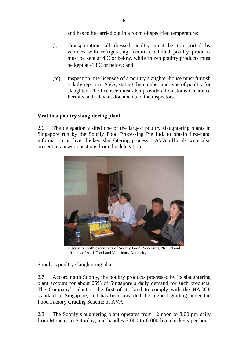and has to be carried out in a room of specified temperature;

- (l) Transportation: all dressed poultry must be transported by vehicles with refrigerating facilities. Chilled poultry products must be kept at 4°C or below, while frozen poultry products must be kept at -18°C or below; and
- (m) Inspection: the licensee of a poultry slaughter-house must furnish a daily report to AVA, stating the number and type of poultry for slaughter. The licensee must also provide all Customs Clearance Permits and relevant documents to the inspectors.

#### **Visit to a poultry slaughtering plant**

2.6 The delegation visited one of the largest poultry slaughtering plants in Singapore run by the Soonly Food Processing Pte Ltd. to obtain first-hand information on live chicken slaughtering process. AVA officials were also present to answer questions from the delegation.



Discussion with executives of Soonly Food Processing Pte Ltd and officials of Agri-Food and Veterinary Authority

#### Soonly's poultry slaughtering plant

2.7 According to Soonly, the poultry products processed by its slaughtering plant account for about 25% of Singapore's daily demand for such products. The Company's plant is the first of its kind to comply with the HACCP standard in Singapore, and has been awarded the highest grading under the Food Factory Grading Scheme of AVA.

2.8 The Soonly slaughtering plant operates from 12 noon to 8:00 pm daily from Monday to Saturday, and handles 5 000 to 6 000 live chickens per hour.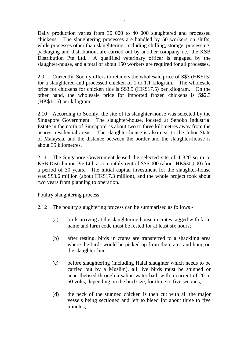Daily production varies from 30 000 to 40 000 slaughtered and processed chickens. The slaughtering processes are handled by 50 workers on shifts, while processes other than slaughtering, including chilling, storage, processing, packaging and distribution, are carried out by another company i.e., the KSB Distribution Pte Ltd. A qualified veterinary officer is engaged by the slaughter-house, and a total of about 150 workers are required for all processes.

2.9 Currently, Soonly offers to retailers the wholesale price of S\$3 (HK\$15) for a slaughtered and processed chicken of 1 to 1.1 kilogram. The wholesale price for chickens for chicken rice is S\$3.5 (HK\$17.5) per kilogram. On the other hand, the wholesale price for imported frozen chickens is S\$2.3 (HK\$11.5) per kilogram.

2.10 According to Soonly, the site of its slaughter-house was selected by the Singapore Government. The slaughter-house, located at Senoko Industrial Estate in the north of Singapore, is about two to three kilometres away from the nearest residential areas. The slaughter-house is also near to the Johor State of Malaysia, and the distance between the border and the slaughter-house is about 35 kilometres.

2.11 The Singapore Government leased the selected site of 4 320 sq m to KSB Distribution Pte Ltd. at a monthly rent of S\$6,000 (about HK\$30,000) for a period of 30 years. The initial capital investment for the slaughter-house was S\$3.6 million (about HK\$17.3 million), and the whole project took about two years from planning to operation.

#### Poultry slaughtering process

- 2.12 The poultry slaughtering process can be summarised as follows
	- (a) birds arriving at the slaughtering house in crates tagged with farm name and farm code must be rested for at least six hours;
	- (b) after resting, birds in crates are transferred to a shackling area where the birds would be picked up from the crates and hung on the slaughter-line;
	- (c) before slaughtering (including Halal slaughter which needs to be carried out by a Muslim), all live birds must be stunned or anaesthetised through a saline water bath with a current of 20 to 50 volts, depending on the bird size, for three to five seconds;
	- (d) the neck of the stunned chicken is then cut with all the major vessels being sectioned and left to bleed for about three to five minutes;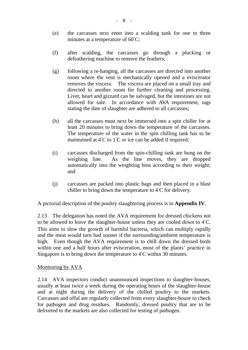- (e) the carcasses next enter into a scalding tank for one to three minutes at a temperature of 60°C;
- (f) after scalding, the carcasses go through a plucking or defeathering machine to remove the feathers;
- (g) following a re-hanging, all the carcasses are directed into another room where the vent is mechanically opened and a eviscerator removes the viscera. The viscera are placed on a small tray and directed to another room for further cleaning and processing. Liver, heart and gizzard can be salvaged, but the intestines are not allowed for sale. In accordance with AVA requirement, tags stating the date of slaughter are adhered to all carcasses;
- (h) all the carcasses must next be immersed into a spin chiller for at least 20 minutes to bring down the temperature of the carcasses. The temperature of the water in the spin chilling tank has to be maintained at 4°C to 1°C or ice can be added if required;
- (i) carcasses discharged from the spin-chilling tank are hung on the weighing line. As the line moves, they are dropped automatically into the weighting bins according to their weight; and
- (j) carcasses are packed into plastic bags and then placed in a blast chiller to bring down the temperature to 4°C for delivery.

A pictorial description of the poultry slaughtering process is in **Appendix IV**.

2.13 The delegation has noted the AVA requirement for dressed chickens not to be allowed to leave the slaughter-house unless they are cooled down to 4°C. This aims to slow the growth of harmful bacteria, which can multiply rapidly and the meat would turn bad sooner if the surrounding/ambient temperature is high. Even though the AVA requirement is to chill down the dressed birds within one and a half hours after evisceration, most of the plants' practice in Singapore is to bring down the temperature to 4°C within 30 minutes.

#### Monitoring by AVA

2.14 AVA inspectors conduct unannounced inspections to slaughter-houses, usually at least twice a week during the operating hours of the slaughter-house and at night during the delivery of the chilled poultry to the markets. Carcasses and offal are regularly collected from every slaughter-house to check for pathogen and drug residues. Randomly, dressed poultry that are to be delivered to the markets are also collected for testing of pathogen.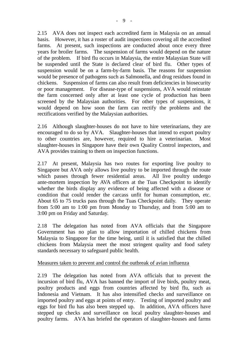2.15 AVA does not inspect each accredited farm in Malaysia on an annual basis. However, it has a roster of audit inspections covering all the accredited farms. At present, such inspections are conducted about once every three years for broiler farms. The suspension of farms would depend on the nature of the problem. If bird flu occurs in Malaysia, the entire Malaysian State will be suspended until the State is declared clear of bird flu. Other types of suspension would be on a farm-by-farm basis. The reasons for suspension would be presence of pathogens such as Salmonella, and drug residues found in chickens. Suspension of farms can also result from deficiencies in biosecurity or poor management. For disease-type of suspensions, AVA would reinstate the farm concerned only after at least one cycle of production has been screened by the Malaysian authorities. For other types of suspensions, it would depend on how soon the farm can rectify the problems and the rectifications verified by the Malaysian authorities.

2.16 Although slaughter-houses do not have to hire veterinarians, they are encouraged to do so by AVA. Slaughter-houses that intend to export poultry to other countries are, however, required to hire a veterinarian. Most slaughter-houses in Singapore have their own Quality Control inspectors, and AVA provides training to them on inspection functions.

2.17 At present, Malaysia has two routes for exporting live poultry to Singapore but AVA only allows live poultry to be imported through the route which passes through fewer residential areas. All live poultry undergo ante-mortem inspection by AVA officers at the Tuas Checkpoint to identify whether the birds display any evidence of being affected with a disease or condition that could render the carcass unfit for human consumption, etc. About 65 to 75 trucks pass through the Tuas Checkpoint daily. They operate from 5:00 am to 1:00 pm from Monday to Thursday, and from 5:00 am to 3:00 pm on Friday and Saturday.

2.18 The delegation has noted from AVA officials that the Singapore Government has no plan to allow importation of chilled chickens from Malaysia to Singapore for the time being, until it is satisfied that the chilled chickens from Malaysia meet the most stringent quality and food safety standards necessary to safeguard public health.

#### Measures taken to prevent and control the outbreak of avian influenza

2.19 The delegation has noted from AVA officials that to prevent the incursion of bird flu, AVA has banned the import of live birds, poultry meat, poultry products and eggs from countries affected by bird flu, such as Indonesia and Vietnam. It has also intensified checks and surveillance on imported poultry and eggs at points of entry. Testing of imported poultry and eggs for bird flu has also been stepped up. In addition, AVA officers have stepped up checks and surveillance on local poultry slaughter-houses and poultry farms. AVA has briefed the operators of slaughter-houses and farms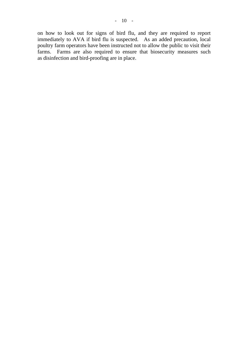on how to look out for signs of bird flu, and they are required to report immediately to AVA if bird flu is suspected. As an added precaution, local poultry farm operators have been instructed not to allow the public to visit their farms. Farms are also required to ensure that biosecurity measures such as disinfection and bird-proofing are in place.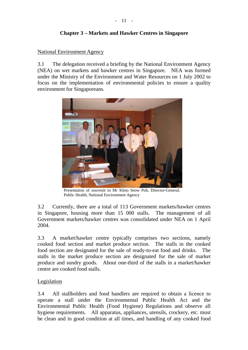#### **Chapter 3 – Markets and Hawker Centres in Singapore**

#### National Environment Agency

3.1 The delegation received a briefing by the National Environment Agency (NEA) on wet markets and hawker centres in Singapore. NEA was formed under the Ministry of the Environment and Water Resources on 1 July 2002 to focus on the implementation of environmental policies to ensure a quality environment for Singaporeans.



Presentation of souvenir to Mr Khoo Seow Poh, Director-General, Public Health, National Environment Agency

3.2 Currently, there are a total of 113 Government markets/hawker centres in Singapore, housing more than 15 000 stalls. The management of all Government markets/hawker centres was consolidated under NEA on 1 April 2004.

3.3 A market/hawker centre typically comprises two sections, namely cooked food section and market produce section. The stalls in the cooked food section are designated for the sale of ready-to-eat food and drinks. The stalls in the market produce section are designated for the sale of market produce and sundry goods. About one-third of the stalls in a market/hawker centre are cooked food stalls.

#### Legislation

3.4 All stallholders and food handlers are required to obtain a licence to operate a stall under the Environmental Public Health Act and the Environmental Public Health (Food Hygiene) Regulations and observe all hygiene requirements. All apparatus, appliances, utensils, crockery, etc. must be clean and in good condition at all times, and handling of any cooked food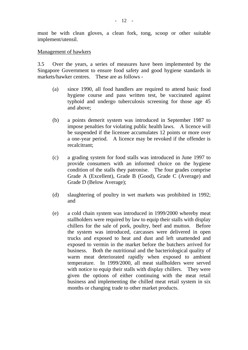must be with clean gloves, a clean fork, tong, scoop or other suitable implement/utensil.

#### Management of hawkers

3.5 Over the years, a series of measures have been implemented by the Singapore Government to ensure food safety and good hygiene standards in markets/hawker centres. These are as follows -

- (a) since 1990, all food handlers are required to attend basic food hygiene course and pass written test, be vaccinated against typhoid and undergo tuberculosis screening for those age 45 and above;
- (b) a points demerit system was introduced in September 1987 to impose penalties for violating public health laws. A licence will be suspended if the licensee accumulates 12 points or more over a one-year period. A licence may be revoked if the offender is recalcitrant;
- (c) a grading system for food stalls was introduced in June 1997 to provide consumers with an informed choice on the hygiene condition of the stalls they patronise. The four grades comprise Grade A (Excellent), Grade B (Good), Grade C (Average) and Grade D (Below Average);
- (d) slaughtering of poultry in wet markets was prohibited in 1992; and
- (e) a cold chain system was introduced in 1999/2000 whereby meat stallholders were required by law to equip their stalls with display chillers for the sale of pork, poultry, beef and mutton. Before the system was introduced, carcasses were delivered in open trucks and exposed to heat and dust and left unattended and exposed to vermin in the market before the butchers arrived for business. Both the nutritional and the bacteriological quality of warm meat deteriorated rapidly when exposed to ambient temperature. In 1999/2000, all meat stallholders were served with notice to equip their stalls with display chillers. They were given the options of either continuing with the meat retail business and implementing the chilled meat retail system in six months or changing trade to other market products.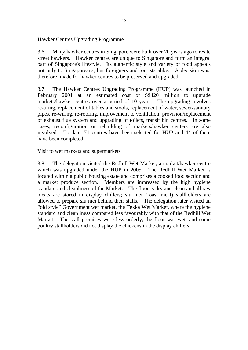#### Hawker Centres Upgrading Programme

3.6 Many hawker centres in Singapore were built over 20 years ago to resite street hawkers. Hawker centres are unique to Singapore and form an integral part of Singapore's lifestyle. Its authentic style and variety of food appeals not only to Singaporeans, but foreigners and tourists alike. A decision was, therefore, made for hawker centres to be preserved and upgraded.

3.7 The Hawker Centres Upgrading Programme (HUP) was launched in February 2001 at an estimated cost of S\$420 million to upgrade markets/hawker centres over a period of 10 years. The upgrading involves re-tiling, replacement of tables and stools, replacement of water, sewer/sanitary pipes, re-wiring, re-roofing, improvement to ventilation, provision/replacement of exhaust flue system and upgrading of toilets, transit bin centres. In some cases, reconfiguration or rebuilding of markets/hawker centers are also involved. To date, 71 centres have been selected for HUP and 44 of them have been completed.

#### Visit to wet markets and supermarkets

3.8 The delegation visited the Redhill Wet Market, a market/hawker centre which was upgraded under the HUP in 2005. The Redhill Wet Market is located within a public housing estate and comprises a cooked food section and a market produce section. Members are impressed by the high hygiene standard and cleanliness of the Market. The floor is dry and clean and all raw meats are stored in display chillers; siu mei (roast meat) stallholders are allowed to prepare siu mei behind their stalls. The delegation later visited an "old style" Government wet market, the Tekka Wet Market, where the hygiene standard and cleanliness compared less favourably with that of the Redhill Wet Market. The stall premises were less orderly, the floor was wet, and some poultry stallholders did not display the chickens in the display chillers.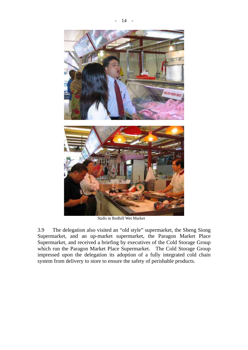



Stalls in Redhill Wet Market

3.9 The delegation also visited an "old style" supermarket, the Sheng Siong Supermarket, and an up-market supermarket, the Paragon Market Place Supermarket, and received a briefing by executives of the Cold Storage Group which run the Paragon Market Place Supermarket. The Cold Storage Group impressed upon the delegation its adoption of a fully integrated cold chain system from delivery to store to ensure the safety of perishable products.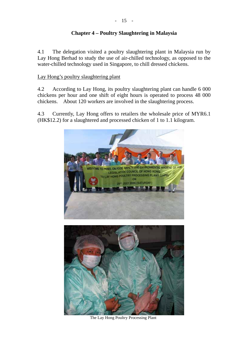### **Chapter 4 – Poultry Slaughtering in Malaysia**

4.1 The delegation visited a poultry slaughtering plant in Malaysia run by Lay Hong Berhad to study the use of air-chilled technology, as opposed to the water-chilled technology used in Singapore, to chill dressed chickens.

#### Lay Hong's poultry slaughtering plant

4.2 According to Lay Hong, its poultry slaughtering plant can handle 6 000 chickens per hour and one shift of eight hours is operated to process 48 000 chickens. About 120 workers are involved in the slaughtering process.

4.3 Currently, Lay Hong offers to retailers the wholesale price of MYR6.1 (HK\$12.2) for a slaughtered and processed chicken of 1 to 1.1 kilogram.



The Lay Hong Poultry Processing Plant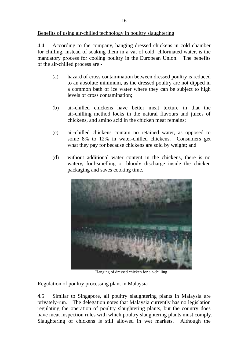#### Benefits of using air-chilled technology in poultry slaughtering

4.4 According to the company, hanging dressed chickens in cold chamber for chilling, instead of soaking them in a vat of cold, chlorinated water, is the mandatory process for cooling poultry in the European Union. The benefits of the air-chilled process are -

- (a) hazard of cross contamination between dressed poultry is reduced to an absolute minimum, as the dressed poultry are not dipped in a common bath of ice water where they can be subject to high levels of cross contamination;
- (b) air-chilled chickens have better meat texture in that the air-chilling method locks in the natural flavours and juices of chickens, and amino acid in the chicken meat remains;
- (c) air-chilled chickens contain no retained water, as opposed to some 8% to 12% in water-chilled chickens. Consumers get what they pay for because chickens are sold by weight; and
- (d) without additional water content in the chickens, there is no watery, foul-smelling or bloody discharge inside the chicken packaging and saves cooking time.



Hanging of dressed chicken for air-chilling

#### Regulation of poultry processing plant in Malaysia

4.5 Similar to Singapore, all poultry slaughtering plants in Malaysia are privately-run. The delegation notes that Malaysia currently has no legislation regulating the operation of poultry slaughtering plants, but the country does have meat inspection rules with which poultry slaughtering plants must comply. Slaughtering of chickens is still allowed in wet markets. Although the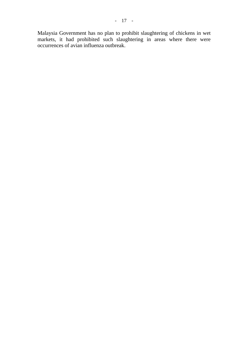Malaysia Government has no plan to prohibit slaughtering of chickens in wet markets, it had prohibited such slaughtering in areas where there were occurrences of avian influenza outbreak.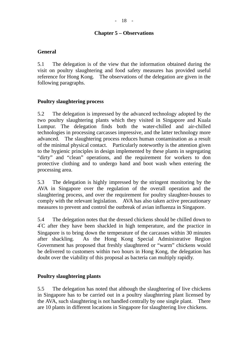#### **Chapter 5 – Observations**

#### **General**

5.1 The delegation is of the view that the information obtained during the visit on poultry slaughtering and food safety measures has provided useful reference for Hong Kong. The observations of the delegation are given in the following paragraphs.

#### **Poultry slaughtering process**

5.2 The delegation is impressed by the advanced technology adopted by the two poultry slaughtering plants which they visited in Singapore and Kuala Lumpur. The delegation finds both the water-chilled and air-chilled technologies in processing carcasses impressive, and the latter technology more advanced. The slaughtering process reduces human contamination as a result of the minimal physical contact. Particularly noteworthy is the attention given to the hygienic principles in design implemented by these plants in segregating "dirty" and "clean" operations, and the requirement for workers to don protective clothing and to undergo hand and boot wash when entering the processing area.

5.3 The delegation is highly impressed by the stringent monitoring by the AVA in Singapore over the regulation of the overall operation and the slaughtering process, and over the requirement for poultry slaughter-houses to comply with the relevant legislation. AVA has also taken active precautionary measures to prevent and control the outbreak of avian influenza in Singapore.

5.4 The delegation notes that the dressed chickens should be chilled down to 4°C after they have been shackled in high temperature, and the practice in Singapore is to bring down the temperature of the carcasses within 30 minutes after shackling. As the Hong Kong Special Administrative Region Government has proposed that freshly slaughtered or "warm" chickens would be delivered to customers within two hours in Hong Kong, the delegation has doubt over the viability of this proposal as bacteria can multiply rapidly.

#### **Poultry slaughtering plants**

5.5 The delegation has noted that although the slaughtering of live chickens in Singapore has to be carried out in a poultry slaughtering plant licensed by the AVA, such slaughtering is not handled centrally by one single plant. There are 10 plants in different locations in Singapore for slaughtering live chickens.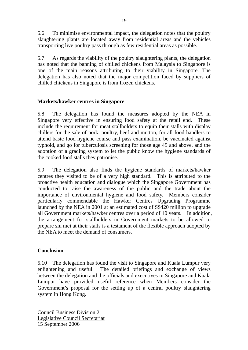5.6 To minimise environmental impact, the delegation notes that the poultry slaughtering plants are located away from residential areas and the vehicles transporting live poultry pass through as few residential areas as possible.

5.7 As regards the viability of the poultry slaughtering plants, the delegation has noted that the banning of chilled chickens from Malaysia to Singapore is one of the main reasons attributing to their viability in Singapore. The delegation has also noted that the major competition faced by suppliers of chilled chickens in Singapore is from frozen chickens.

#### **Markets/hawker centres in Singapore**

5.8 The delegation has found the measures adopted by the NEA in Singapore very effective in ensuring food safety at the retail end. These include the requirement for meat stallholders to equip their stalls with display chillers for the sale of pork, poultry, beef and mutton, for all food handlers to attend basic food hygiene course and pass examination, be vaccinated against typhoid, and go for tuberculosis screening for those age 45 and above, and the adoption of a grading system to let the public know the hygiene standards of the cooked food stalls they patronise.

5.9 The delegation also finds the hygiene standards of markets/hawker centres they visited to be of a very high standard. This is attributed to the proactive health education and dialogue which the Singapore Government has conducted to raise the awareness of the public and the trade about the importance of environmental hygiene and food safety. Members consider particularly commendable the Hawker Centres Upgrading Programme launched by the NEA in 2001 at an estimated cost of S\$420 million to upgrade all Government markets/hawker centres over a period of 10 years. In addition, the arrangement for stallholders in Government markets to be allowed to prepare siu mei at their stalls is a testament of the flexible approach adopted by the NEA to meet the demand of consumers.

#### **Conclusion**

5.10 The delegation has found the visit to Singapore and Kuala Lumpur very enlightening and useful. The detailed briefings and exchange of views between the delegation and the officials and executives in Singapore and Kuala Lumpur have provided useful reference when Members consider the Government's proposal for the setting up of a central poultry slaughtering system in Hong Kong.

Council Business Division 2 Legislative Council Secretariat 15 September 2006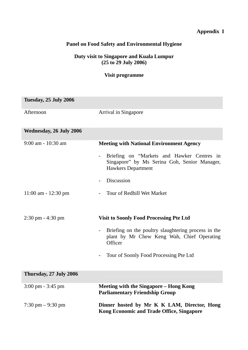### **Appendix I**

### **Panel on Food Safety and Environmental Hygiene**

#### **Duty visit to Singapore and Kuala Lumpur (25 to 29 July 2006)**

#### **Visit programme**

| Tuesday, 25 July 2006               |                                                                                                                         |
|-------------------------------------|-------------------------------------------------------------------------------------------------------------------------|
| Afternoon                           | Arrival in Singapore                                                                                                    |
| <b>Wednesday, 26 July 2006</b>      |                                                                                                                         |
| $9:00$ am - 10:30 am                | <b>Meeting with National Environment Agency</b>                                                                         |
|                                     | Briefing on "Markets and Hawker Centres in<br>Singapore" by Ms Serina Goh, Senior Manager,<br><b>Hawkers Department</b> |
|                                     | <b>Discussion</b>                                                                                                       |
| $11:00$ am - $12:30$ pm             | Tour of Redhill Wet Market                                                                                              |
| $2:30 \text{ pm} - 4:30 \text{ pm}$ | <b>Visit to Soonly Food Processing Pte Ltd</b>                                                                          |
|                                     |                                                                                                                         |
|                                     | Briefing on the poultry slaughtering process in the<br>plant by Mr Chew Keng Wah, Chief Operating<br>Officer            |
|                                     | Tour of Soonly Food Processing Pte Ltd                                                                                  |
| Thursday, 27 July 2006              |                                                                                                                         |
| $3:00 \text{ pm} - 3:45 \text{ pm}$ | <b>Meeting with the Singapore - Hong Kong</b><br><b>Parliamentary Friendship Group</b>                                  |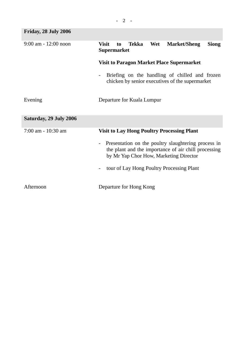| <b>Friday, 28 July 2006</b> |                                                                                                                                                       |  |  |
|-----------------------------|-------------------------------------------------------------------------------------------------------------------------------------------------------|--|--|
| $9:00$ am $-12:00$ noon     | Tekka<br>Wet<br><b>Visit</b><br><b>Market/Sheng</b><br><b>Siong</b><br>to<br><b>Supermarket</b>                                                       |  |  |
|                             | <b>Visit to Paragon Market Place Supermarket</b>                                                                                                      |  |  |
|                             | Briefing on the handling of chilled and frozen<br>chicken by senior executives of the supermarket                                                     |  |  |
| Evening                     | Departure for Kuala Lumpur                                                                                                                            |  |  |
| Saturday, 29 July 2006      |                                                                                                                                                       |  |  |
| 7:00 am - 10:30 am          | <b>Visit to Lay Hong Poultry Processing Plant</b>                                                                                                     |  |  |
|                             | Presentation on the poultry slaughtering process in<br>the plant and the importance of air chill processing<br>by Mr Yap Chor How, Marketing Director |  |  |
|                             | tour of Lay Hong Poultry Processing Plant                                                                                                             |  |  |
| Afternoon                   | Departure for Hong Kong                                                                                                                               |  |  |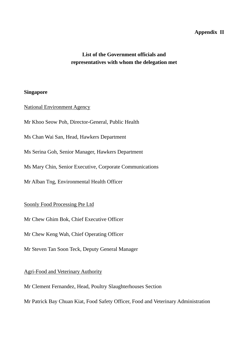#### **Appendix II**

### **List of the Government officials and representatives with whom the delegation met**

#### **Singapore**

#### National Environment Agency

Mr Khoo Seow Poh, Director-General, Public Health

Ms Chan Wai San, Head, Hawkers Department

Ms Serina Goh, Senior Manager, Hawkers Department

Ms Mary Chin, Senior Executive, Corporate Communications

Mr Alban Tng, Environmental Health Officer

#### Soonly Food Processing Pte Ltd

Mr Chew Ghim Bok, Chief Executive Officer

Mr Chew Keng Wah, Chief Operating Officer

Mr Steven Tan Soon Teck, Deputy General Manager

### Agri-Food and Veterinary Authority

Mr Clement Fernandez, Head, Poultry Slaughterhouses Section

Mr Patrick Bay Chuan Kiat, Food Safety Officer, Food and Veterinary Administration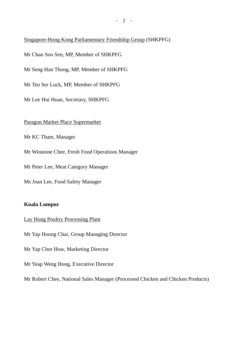### Singapore-Hong Kong Parliamentary Friendship Group (SHKPFG)

Mr Chan Soo Sen, MP, Member of SHKPFG

Mr Seng Han Thong, MP, Member of SHKPFG

Mr Teo Ser Luck, MP, Member of SHKPFG

Mr Lee Hui Huan, Secretary, SHKPFG

### Paragon Market Place Supermarket

Mr KC Tham, Manager

Mr Winstone Chee, Fresh Food Operations Manager

Mr Peter Lee, Meat Category Manager

Ms Joan Lee, Food Safety Manager

### **Kuala Lumpur**

#### Lay Hong Poultry Processing Plant

Mr Yap Hoong Chai, Group Managing Director

Mr Yap Chor How, Marketing Director

Mr Yeap Weng Hong, Executive Director

Mr Robert Chee, National Sales Manager (Processed Chicken and Chicken Products)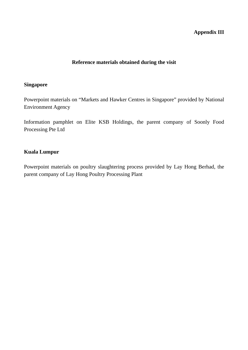#### **Appendix III**

#### **Reference materials obtained during the visit**

#### **Singapore**

Powerpoint materials on "Markets and Hawker Centres in Singapore" provided by National Environment Agency

Information pamphlet on Elite KSB Holdings, the parent company of Soonly Food Processing Pte Ltd

#### **Kuala Lumpur**

Powerpoint materials on poultry slaughtering process provided by Lay Hong Berhad, the parent company of Lay Hong Poultry Processing Plant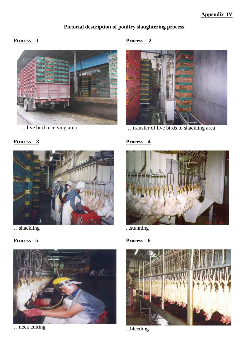## **Pictorial description of poultry slaughtering process**

### **Process – 1**



….. live bird receiving area

### **Process – 2**



…transfer of live birds to shackling area

### **Process – 3**



…shackling





…neck cutting

### **Process - 4**



...stunning

### **Process - 6**



...bleeding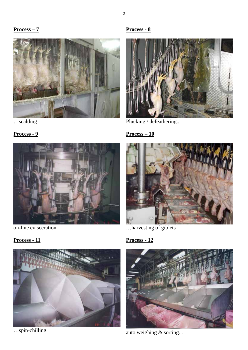#### **Process – 7**



### …scalding

# **Process - 9**



on-line evisceration

**Process - 11**



…spin-chilling

### **Process - 8**



Plucking / defeathering...

### **Process – 10**



…harvesting of giblets

# **Process - 12**



auto weighing & sorting...